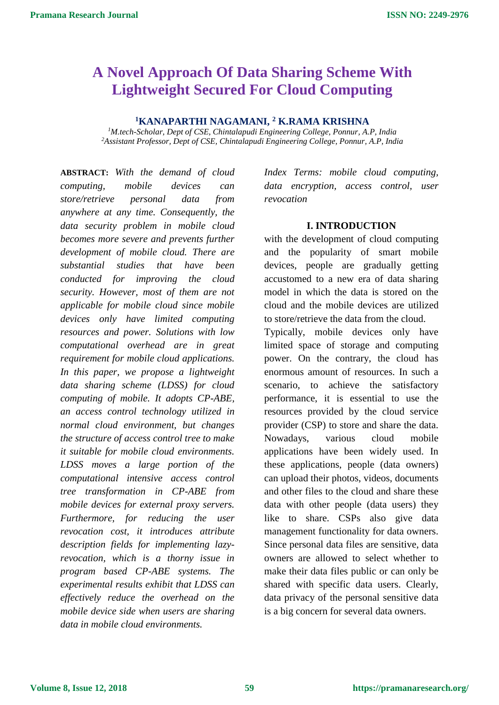# **A Novel Approach Of Data Sharing Scheme With Lightweight Secured For Cloud Computing**

## **<sup>1</sup>KANAPARTHI NAGAMANI, <sup>2</sup> K.RAMA KRISHNA**

*<sup>1</sup>M.tech-Scholar, Dept of CSE, Chintalapudi Engineering College, Ponnur, A.P, India <sup>2</sup>Assistant Professor, Dept of CSE, Chintalapudi Engineering College, Ponnur, A.P, India*

**ABSTRACT:** *With the demand of cloud computing, mobile devices can store/retrieve personal data from anywhere at any time. Consequently, the data security problem in mobile cloud becomes more severe and prevents further development of mobile cloud. There are substantial studies that have been conducted for improving the cloud security. However, most of them are not applicable for mobile cloud since mobile devices only have limited computing resources and power. Solutions with low computational overhead are in great requirement for mobile cloud applications. In this paper, we propose a lightweight data sharing scheme (LDSS) for cloud computing of mobile. It adopts CP-ABE, an access control technology utilized in normal cloud environment, but changes the structure of access control tree to make it suitable for mobile cloud environments. LDSS moves a large portion of the computational intensive access control tree transformation in CP-ABE from mobile devices for external proxy servers. Furthermore, for reducing the user revocation cost, it introduces attribute description fields for implementing lazyrevocation, which is a thorny issue in program based CP-ABE systems. The experimental results exhibit that LDSS can effectively reduce the overhead on the mobile device side when users are sharing data in mobile cloud environments.* 

*Index Terms: mobile cloud computing, data encryption, access control, user revocation*

#### **I. INTRODUCTION**

with the development of cloud computing and the popularity of smart mobile devices, people are gradually getting accustomed to a new era of data sharing model in which the data is stored on the cloud and the mobile devices are utilized to store/retrieve the data from the cloud.

Typically, mobile devices only have limited space of storage and computing power. On the contrary, the cloud has enormous amount of resources. In such a scenario, to achieve the satisfactory performance, it is essential to use the resources provided by the cloud service provider (CSP) to store and share the data. Nowadays, various cloud mobile applications have been widely used. In these applications, people (data owners) can upload their photos, videos, documents and other files to the cloud and share these data with other people (data users) they like to share. CSPs also give data management functionality for data owners. Since personal data files are sensitive, data owners are allowed to select whether to make their data files public or can only be shared with specific data users. Clearly, data privacy of the personal sensitive data is a big concern for several data owners.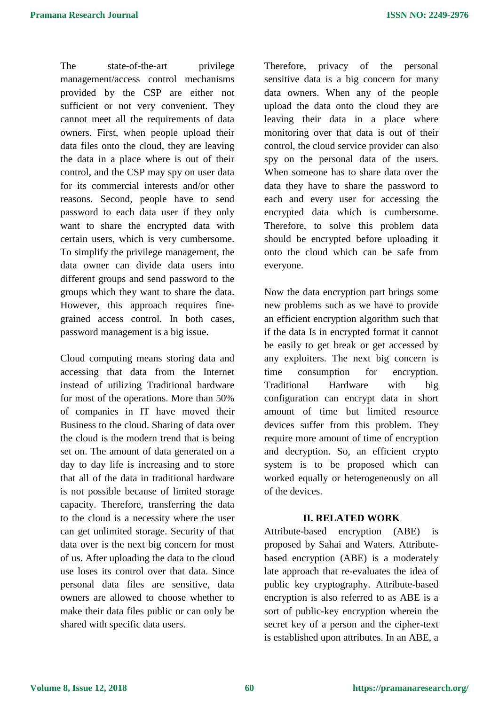The state-of-the-art privilege management/access control mechanisms provided by the CSP are either not sufficient or not very convenient. They cannot meet all the requirements of data owners. First, when people upload their data files onto the cloud, they are leaving the data in a place where is out of their control, and the CSP may spy on user data for its commercial interests and/or other reasons. Second, people have to send password to each data user if they only want to share the encrypted data with certain users, which is very cumbersome. To simplify the privilege management, the data owner can divide data users into different groups and send password to the groups which they want to share the data. However, this approach requires finegrained access control. In both cases, password management is a big issue.

Cloud computing means storing data and accessing that data from the Internet instead of utilizing Traditional hardware for most of the operations. More than 50% of companies in IT have moved their Business to the cloud. Sharing of data over the cloud is the modern trend that is being set on. The amount of data generated on a day to day life is increasing and to store that all of the data in traditional hardware is not possible because of limited storage capacity. Therefore, transferring the data to the cloud is a necessity where the user can get unlimited storage. Security of that data over is the next big concern for most of us. After uploading the data to the cloud use loses its control over that data. Since personal data files are sensitive, data owners are allowed to choose whether to make their data files public or can only be shared with specific data users.

Therefore, privacy of the personal sensitive data is a big concern for many data owners. When any of the people upload the data onto the cloud they are leaving their data in a place where monitoring over that data is out of their control, the cloud service provider can also spy on the personal data of the users. When someone has to share data over the data they have to share the password to each and every user for accessing the encrypted data which is cumbersome. Therefore, to solve this problem data should be encrypted before uploading it onto the cloud which can be safe from everyone.

Now the data encryption part brings some new problems such as we have to provide an efficient encryption algorithm such that if the data Is in encrypted format it cannot be easily to get break or get accessed by any exploiters. The next big concern is time consumption for encryption. Traditional Hardware with big configuration can encrypt data in short amount of time but limited resource devices suffer from this problem. They require more amount of time of encryption and decryption. So, an efficient crypto system is to be proposed which can worked equally or heterogeneously on all of the devices.

### **II. RELATED WORK**

Attribute-based encryption (ABE) is proposed by Sahai and Waters. Attributebased encryption (ABE) is a moderately late approach that re-evaluates the idea of public key cryptography. Attribute-based encryption is also referred to as ABE is a sort of public-key encryption wherein the secret key of a person and the cipher-text is established upon attributes. In an ABE, a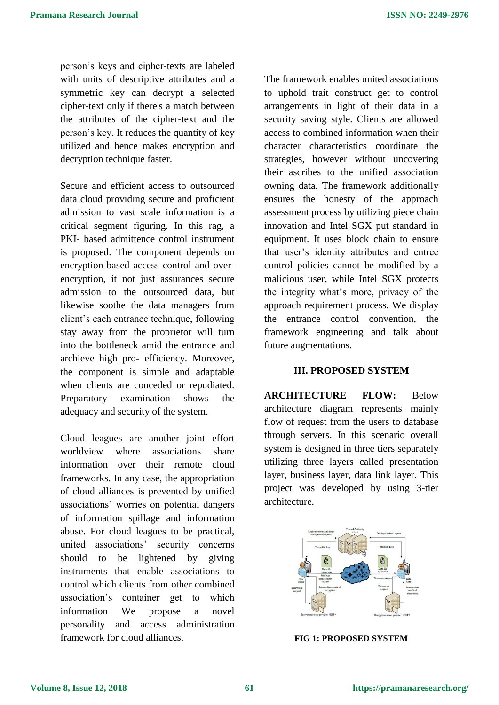person's keys and cipher-texts are labeled with units of descriptive attributes and a symmetric key can decrypt a selected cipher-text only if there's a match between the attributes of the cipher-text and the person's key. It reduces the quantity of key utilized and hence makes encryption and decryption technique faster.

Secure and efficient access to outsourced data cloud providing secure and proficient admission to vast scale information is a critical segment figuring. In this rag, a PKI- based admittence control instrument is proposed. The component depends on encryption-based access control and overencryption, it not just assurances secure admission to the outsourced data, but likewise soothe the data managers from client's each entrance technique, following stay away from the proprietor will turn into the bottleneck amid the entrance and archieve high pro- efficiency. Moreover, the component is simple and adaptable when clients are conceded or repudiated. Preparatory examination shows the adequacy and security of the system.

Cloud leagues are another joint effort worldview where associations share information over their remote cloud frameworks. In any case, the appropriation of cloud alliances is prevented by unified associations' worries on potential dangers of information spillage and information abuse. For cloud leagues to be practical, united associations' security concerns should to be lightened by giving instruments that enable associations to control which clients from other combined association's container get to which information We propose a novel personality and access administration framework for cloud alliances.

The framework enables united associations to uphold trait construct get to control arrangements in light of their data in a security saving style. Clients are allowed access to combined information when their character characteristics coordinate the strategies, however without uncovering their ascribes to the unified association owning data. The framework additionally ensures the honesty of the approach assessment process by utilizing piece chain innovation and Intel SGX put standard in equipment. It uses block chain to ensure that user's identity attributes and entree control policies cannot be modified by a malicious user, while Intel SGX protects the integrity what's more, privacy of the approach requirement process. We display the entrance control convention, the framework engineering and talk about future augmentations.

### **III. PROPOSED SYSTEM**

**ARCHITECTURE FLOW:** Below architecture diagram represents mainly flow of request from the users to database through servers. In this scenario overall system is designed in three tiers separately utilizing three layers called presentation layer, business layer, data link layer. This project was developed by using 3-tier architecture.



**FIG 1: PROPOSED SYSTEM**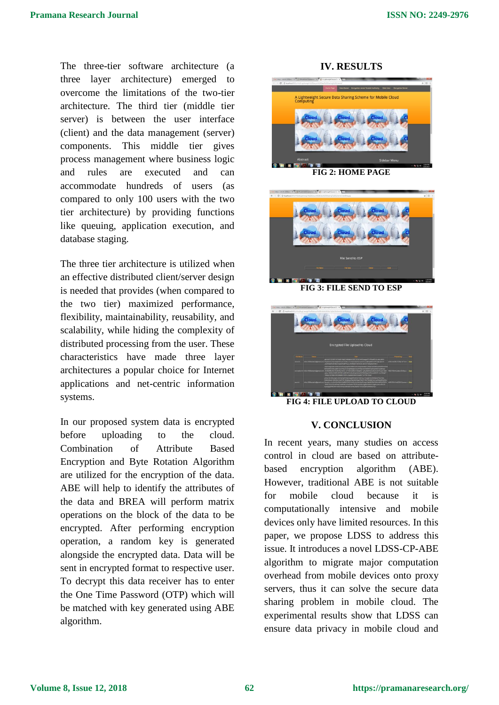The three-tier software architecture (a three layer architecture) emerged to overcome the limitations of the two-tier architecture. The third tier (middle tier server) is between the user interface (client) and the data management (server) components. This middle tier gives process management where business logic and rules are executed and can accommodate hundreds of users (as compared to only 100 users with the two tier architecture) by providing functions like queuing, application execution, and database staging.

The three tier architecture is utilized when an effective distributed client/server design is needed that provides (when compared to the two tier) maximized performance, flexibility, maintainability, reusability, and scalability, while hiding the complexity of distributed processing from the user. These characteristics have made three layer architectures a popular choice for Internet applications and net-centric information systems.

In our proposed system data is encrypted before uploading to the cloud. Combination of Attribute Based Encryption and Byte Rotation Algorithm are utilized for the encryption of the data. ABE will help to identify the attributes of the data and BREA will perform matrix operations on the block of the data to be encrypted. After performing encryption operation, a random key is generated alongside the encrypted data. Data will be sent in encrypted format to respective user. To decrypt this data receiver has to enter the One Time Password (OTP) which will be matched with key generated using ABE algorithm.

**IV. RESULTS**



**FIG 2: HOME PAGE**



**FIG 3: FILE SEND TO ESP**



**FIG 4: FILE UPLOAD TO CLOUD**

### **V. CONCLUSION**

In recent years, many studies on access control in cloud are based on attributebased encryption algorithm (ABE). However, traditional ABE is not suitable for mobile cloud because it is computationally intensive and mobile devices only have limited resources. In this paper, we propose LDSS to address this issue. It introduces a novel LDSS-CP-ABE algorithm to migrate major computation overhead from mobile devices onto proxy servers, thus it can solve the secure data sharing problem in mobile cloud. The experimental results show that LDSS can ensure data privacy in mobile cloud and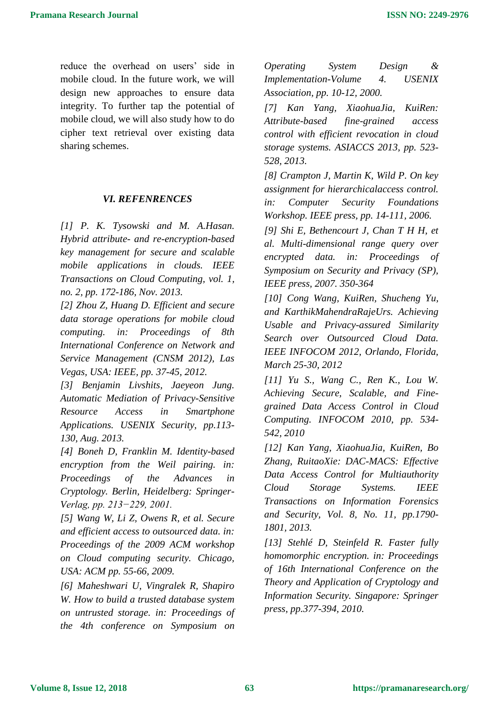reduce the overhead on users' side in mobile cloud. In the future work, we will design new approaches to ensure data integrity. To further tap the potential of mobile cloud, we will also study how to do cipher text retrieval over existing data sharing schemes.

#### *VI. REFENRENCES*

*[1] P. K. Tysowski and M. A.Hasan. Hybrid attribute- and re-encryption-based key management for secure and scalable mobile applications in clouds. IEEE Transactions on Cloud Computing, vol. 1, no. 2, pp. 172-186, Nov. 2013.* 

*[2] Zhou Z, Huang D. Efficient and secure data storage operations for mobile cloud computing. in: Proceedings of 8th International Conference on Network and Service Management (CNSM 2012), Las Vegas, USA: IEEE, pp. 37-45, 2012.* 

*[3] Benjamin Livshits, Jaeyeon Jung. Automatic Mediation of Privacy-Sensitive Resource Access in Smartphone Applications. USENIX Security, pp.113- 130, Aug. 2013.* 

*[4] Boneh D, Franklin M. Identity-based encryption from the Weil pairing. in: Proceedings of the Advances in Cryptology. Berlin, Heidelberg: Springer-Verlag, pp. 213−229, 2001.* 

*[5] Wang W, Li Z, Owens R, et al. Secure and efficient access to outsourced data. in: Proceedings of the 2009 ACM workshop on Cloud computing security. Chicago, USA: ACM pp. 55-66, 2009.* 

*[6] Maheshwari U, Vingralek R, Shapiro W. How to build a trusted database system on untrusted storage. in: Proceedings of the 4th conference on Symposium on* 

*Operating System Design & Implementation-Volume 4. USENIX Association, pp. 10-12, 2000.* 

*[7] Kan Yang, XiaohuaJia, KuiRen: Attribute-based fine-grained access control with efficient revocation in cloud storage systems. ASIACCS 2013, pp. 523- 528, 2013.* 

*[8] Crampton J, Martin K, Wild P. On key assignment for hierarchicalaccess control. in: Computer Security Foundations Workshop. IEEE press, pp. 14-111, 2006.* 

*[9] Shi E, Bethencourt J, Chan T H H, et al. Multi-dimensional range query over encrypted data. in: Proceedings of Symposium on Security and Privacy (SP), IEEE press, 2007. 350-364* 

*[10] Cong Wang, KuiRen, Shucheng Yu, and KarthikMahendraRajeUrs. Achieving Usable and Privacy-assured Similarity Search over Outsourced Cloud Data. IEEE INFOCOM 2012, Orlando, Florida, March 25-30, 2012* 

*[11] Yu S., Wang C., Ren K., Lou W. Achieving Secure, Scalable, and Finegrained Data Access Control in Cloud Computing. INFOCOM 2010, pp. 534- 542, 2010* 

*[12] Kan Yang, XiaohuaJia, KuiRen, Bo Zhang, RuitaoXie: DAC-MACS: Effective Data Access Control for Multiauthority Cloud Storage Systems. IEEE Transactions on Information Forensics and Security, Vol. 8, No. 11, pp.1790- 1801, 2013.* 

*[13] Stehlé D, Steinfeld R. Faster fully homomorphic encryption. in: Proceedings of 16th International Conference on the Theory and Application of Cryptology and Information Security. Singapore: Springer press, pp.377-394, 2010.*